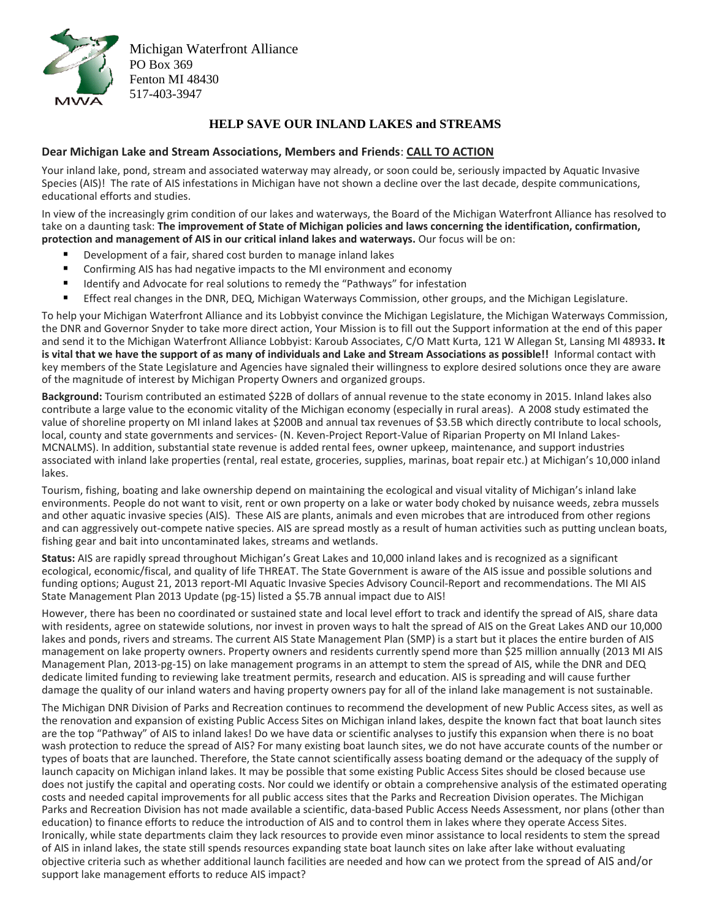

Michigan Waterfront Alliance PO Box 369 Fenton MI 48430 517-403-3947

## **HELP SAVE OUR INLAND LAKES and STREAMS**

## **Dear Michigan Lake and Stream Associations, Members and Friends**: **CALL TO ACTION**

Your inland lake, pond, stream and associated waterway may already, or soon could be, seriously impacted by Aquatic Invasive Species (AIS)! The rate of AIS infestations in Michigan have not shown a decline over the last decade, despite communications, educational efforts and studies.

In view of the increasingly grim condition of our lakes and waterways, the Board of the Michigan Waterfront Alliance has resolved to take on a daunting task: **The improvement of State of Michigan policies and laws concerning the identification, confirmation, protection and management of AIS in our critical inland lakes and waterways.** Our focus will be on:

- Development of a fair, shared cost burden to manage inland lakes
- Confirming AIS has had negative impacts to the MI environment and economy
- Identify and Advocate for real solutions to remedy the "Pathways" for infestation
- Effect real changes in the DNR, DEQ, Michigan Waterways Commission, other groups, and the Michigan Legislature.

To help your Michigan Waterfront Alliance and its Lobbyist convince the Michigan Legislature, the Michigan Waterways Commission, the DNR and Governor Snyder to take more direct action, Your Mission is to fill out the Support information at the end of this paper and send it to the Michigan Waterfront Alliance Lobbyist: Karoub Associates, C/O Matt Kurta, 121 W Allegan St, Lansing MI 48933**. It is vital that we have the support of as many of individuals and Lake and Stream Associations as possible!!** Informal contact with key members of the State Legislature and Agencies have signaled their willingness to explore desired solutions once they are aware of the magnitude of interest by Michigan Property Owners and organized groups.

**Background:** Tourism contributed an estimated \$22B of dollars of annual revenue to the state economy in 2015. Inland lakes also contribute a large value to the economic vitality of the Michigan economy (especially in rural areas). A 2008 study estimated the value of shoreline property on MI inland lakes at \$200B and annual tax revenues of \$3.5B which directly contribute to local schools, local, county and state governments and services- (N. Keven-Project Report-Value of Riparian Property on MI Inland Lakes-MCNALMS). In addition, substantial state revenue is added rental fees, owner upkeep, maintenance, and support industries associated with inland lake properties (rental, real estate, groceries, supplies, marinas, boat repair etc.) at Michigan's 10,000 inland lakes.

Tourism, fishing, boating and lake ownership depend on maintaining the ecological and visual vitality of Michigan's inland lake environments. People do not want to visit, rent or own property on a lake or water body choked by nuisance weeds, zebra mussels and other aquatic invasive species (AIS). These AIS are plants, animals and even microbes that are introduced from other regions and can aggressively out-compete native species. AIS are spread mostly as a result of human activities such as putting unclean boats, fishing gear and bait into uncontaminated lakes, streams and wetlands.

**Status:** AIS are rapidly spread throughout Michigan's Great Lakes and 10,000 inland lakes and is recognized as a significant ecological, economic/fiscal, and quality of life THREAT. The State Government is aware of the AIS issue and possible solutions and funding options; August 21, 2013 report-MI Aquatic Invasive Species Advisory Council-Report and recommendations. The MI AIS State Management Plan 2013 Update (pg-15) listed a \$5.7B annual impact due to AIS!

However, there has been no coordinated or sustained state and local level effort to track and identify the spread of AIS, share data with residents, agree on statewide solutions, nor invest in proven ways to halt the spread of AIS on the Great Lakes AND our 10,000 lakes and ponds, rivers and streams. The current AIS State Management Plan (SMP) is a start but it places the entire burden of AIS management on lake property owners. Property owners and residents currently spend more than \$25 million annually (2013 MI AIS Management Plan, 2013-pg-15) on lake management programs in an attempt to stem the spread of AIS, while the DNR and DEQ dedicate limited funding to reviewing lake treatment permits, research and education. AIS is spreading and will cause further damage the quality of our inland waters and having property owners pay for all of the inland lake management is not sustainable.

The Michigan DNR Division of Parks and Recreation continues to recommend the development of new Public Access sites, as well as the renovation and expansion of existing Public Access Sites on Michigan inland lakes, despite the known fact that boat launch sites are the top "Pathway" of AIS to inland lakes! Do we have data or scientific analyses to justify this expansion when there is no boat wash protection to reduce the spread of AIS? For many existing boat launch sites, we do not have accurate counts of the number or types of boats that are launched. Therefore, the State cannot scientifically assess boating demand or the adequacy of the supply of launch capacity on Michigan inland lakes. It may be possible that some existing Public Access Sites should be closed because use does not justify the capital and operating costs. Nor could we identify or obtain a comprehensive analysis of the estimated operating costs and needed capital improvements for all public access sites that the Parks and Recreation Division operates. The Michigan Parks and Recreation Division has not made available a scientific, data-based Public Access Needs Assessment, nor plans (other than education) to finance efforts to reduce the introduction of AIS and to control them in lakes where they operate Access Sites. Ironically, while state departments claim they lack resources to provide even minor assistance to local residents to stem the spread of AIS in inland lakes, the state still spends resources expanding state boat launch sites on lake after lake without evaluating objective criteria such as whether additional launch facilities are needed and how can we protect from the spread of AIS and/or support lake management efforts to reduce AIS impact?